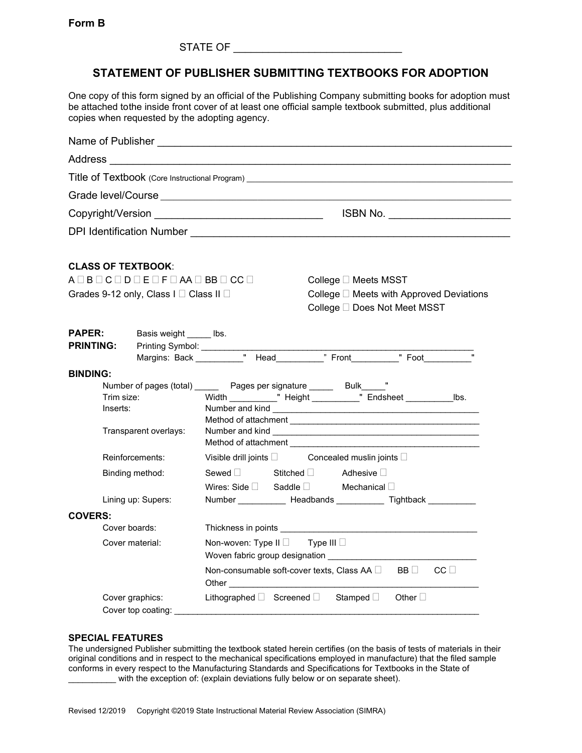STATE OF

## **STATEMENT OF PUBLISHER SUBMITTING TEXTBOOKS FOR ADOPTION**

One copy of this form signed by an official of the Publishing Company submitting books for adoption must be attached tothe inside front cover of at least one official sample textbook submitted, plus additional copies when requested by the adopting agency.

|                                                                    |                                                                                                                             | Name of Publisher Name of Publisher                                                                                                                                                                                                  |  |  |  |
|--------------------------------------------------------------------|-----------------------------------------------------------------------------------------------------------------------------|--------------------------------------------------------------------------------------------------------------------------------------------------------------------------------------------------------------------------------------|--|--|--|
|                                                                    |                                                                                                                             |                                                                                                                                                                                                                                      |  |  |  |
|                                                                    |                                                                                                                             | Title of Textbook (Core Instructional Program)                                                                                                                                                                                       |  |  |  |
|                                                                    |                                                                                                                             |                                                                                                                                                                                                                                      |  |  |  |
|                                                                    |                                                                                                                             | ISBN No. _______________________                                                                                                                                                                                                     |  |  |  |
|                                                                    |                                                                                                                             |                                                                                                                                                                                                                                      |  |  |  |
|                                                                    | <b>CLASS OF TEXTBOOK:</b><br>$A \square B \square C \square D \square E \square F \square AA \square BB \square CC \square$ | College □ Meets MSST                                                                                                                                                                                                                 |  |  |  |
|                                                                    | Grades 9-12 only, Class I □ Class II □                                                                                      | College □ Meets with Approved Deviations<br>College □ Does Not Meet MSST                                                                                                                                                             |  |  |  |
| <b>PAPER:</b><br><b>PRINTING:</b>                                  | Basis weight ______ lbs.<br>Printing Symbol: ___________                                                                    | Margins: Back ___________" Head___________" Front__________" Foot_______________                                                                                                                                                     |  |  |  |
| <b>BINDING:</b>                                                    |                                                                                                                             |                                                                                                                                                                                                                                      |  |  |  |
| Trim size:<br>Inserts:<br>Transparent overlays:<br>Reinforcements: |                                                                                                                             | Number of pages (total) _______ Pages per signature ______ Bulk_____"<br>Width ____________" Height ___________" Endsheet ________________lbs.                                                                                       |  |  |  |
|                                                                    |                                                                                                                             | Visible drill joints and Soncealed muslin joints and Visible drill joints                                                                                                                                                            |  |  |  |
| Binding method:                                                    |                                                                                                                             | Sewed □ Stitched □ Adhesive □<br>Wires: Side Saddle Mechanical D                                                                                                                                                                     |  |  |  |
|                                                                    | Lining up: Supers:                                                                                                          | Number ______________ Headbands _____________ Tightback ____________                                                                                                                                                                 |  |  |  |
| <b>COVERS:</b><br>Cover boards:                                    |                                                                                                                             | Thickness in points <b>contract the contract of the contract of the contract of the contract of the contract of the contract of the contract of the contract of the contract of the contract of the contract of the contract of </b> |  |  |  |
| Cover material:                                                    |                                                                                                                             | Non-woven: Type II $\Box$ Type III $\Box$<br>Non-consumable soft-cover texts. Class AA $\Box$<br>$CC \Box$<br>BB I I                                                                                                                 |  |  |  |
| Cover graphics:<br>Cover top coating:                              |                                                                                                                             | Lithographed $\square$ Screened $\square$ Stamped $\square$<br>Other $\square$                                                                                                                                                       |  |  |  |

## **SPECIAL FEATURES**

The undersigned Publisher submitting the textbook stated herein certifies (on the basis of tests of materials in their original conditions and in respect to the mechanical specifications employed in manufacture) that the filed sample conforms in every respect to the Manufacturing Standards and Specifications for Textbooks in the State of with the exception of: (explain deviations fully below or on separate sheet).